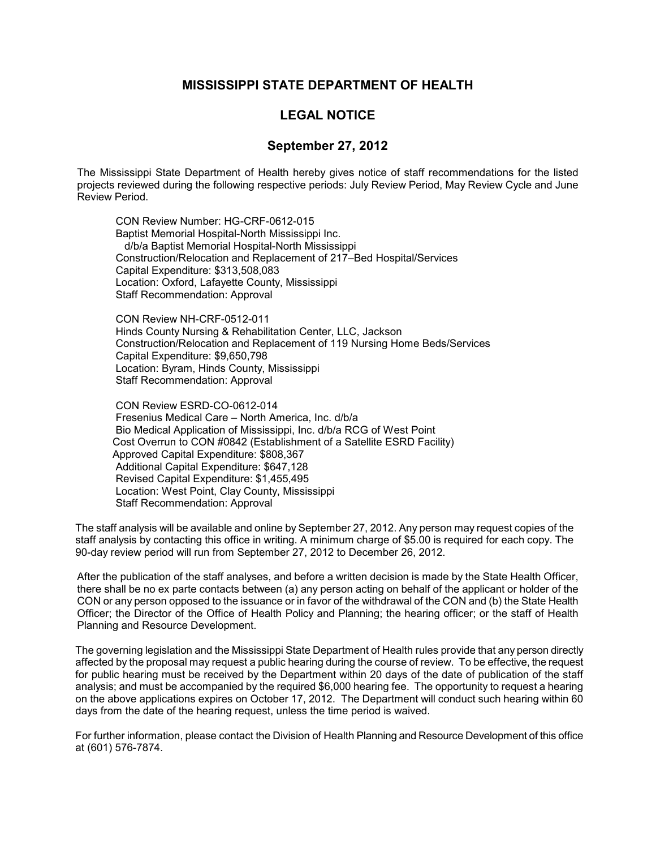## **MISSISSIPPI STATE DEPARTMENT OF HEALTH**

## **LEGAL NOTICE**

## **September 27, 2012**

The Mississippi State Department of Health hereby gives notice of staff recommendations for the listed projects reviewed during the following respective periods: July Review Period, May Review Cycle and June Review Period.

CON Review Number: HG-CRF-0612-015 Baptist Memorial Hospital-North Mississippi Inc. d/b/a Baptist Memorial Hospital-North Mississippi Construction/Relocation and Replacement of 217–Bed Hospital/Services Capital Expenditure: \$313,508,083 Location: Oxford, Lafayette County, Mississippi Staff Recommendation: Approval

CON Review NH-CRF-0512-011 Hinds County Nursing & Rehabilitation Center, LLC, Jackson Construction/Relocation and Replacement of 119 Nursing Home Beds/Services Capital Expenditure: \$9,650,798 Location: Byram, Hinds County, Mississippi Staff Recommendation: Approval

CON Review ESRD-CO-0612-014 Fresenius Medical Care – North America, Inc. d/b/a Bio Medical Application of Mississippi, Inc. d/b/a RCG of West Point Cost Overrun to CON #0842 (Establishment of a Satellite ESRD Facility) Approved Capital Expenditure: \$808,367 Additional Capital Expenditure: \$647,128 Revised Capital Expenditure: \$1,455,495 Location: West Point, Clay County, Mississippi Staff Recommendation: Approval

The staff analysis will be available and online by September 27, 2012. Any person may request copies of the staff analysis by contacting this office in writing. A minimum charge of \$5.00 is required for each copy. The 90-day review period will run from September 27, 2012 to December 26, 2012.

After the publication of the staff analyses, and before a written decision is made by the State Health Officer, there shall be no ex parte contacts between (a) any person acting on behalf of the applicant or holder of the CON or any person opposed to the issuance or in favor of the withdrawal of the CON and (b) the State Health Officer; the Director of the Office of Health Policy and Planning; the hearing officer; or the staff of Health Planning and Resource Development.

The governing legislation and the Mississippi State Department of Health rules provide that any person directly affected by the proposal may request a public hearing during the course of review. To be effective, the request for public hearing must be received by the Department within 20 days of the date of publication of the staff analysis; and must be accompanied by the required \$6,000 hearing fee. The opportunity to request a hearing on the above applications expires on October 17, 2012. The Department will conduct such hearing within 60 days from the date of the hearing request, unless the time period is waived.

For further information, please contact the Division of Health Planning and Resource Development of this office at (601) 576-7874.